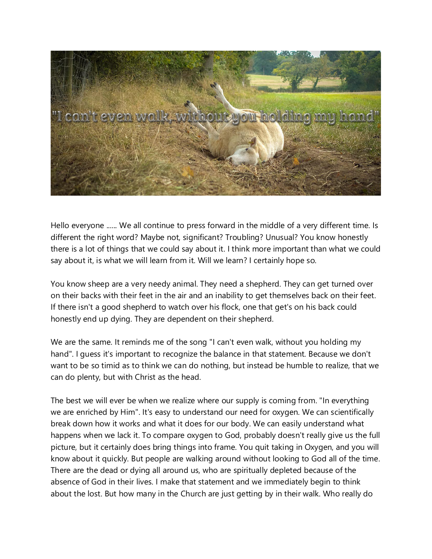

Hello everyone ...... We all continue to press forward in the middle of a very different time. Is different the right word? Maybe not, significant? Troubling? Unusual? You know honestly there is a lot of things that we could say about it. I think more important than what we could say about it, is what we will learn from it. Will we learn? I certainly hope so.

You know sheep are a very needy animal. They need a shepherd. They can get turned over on their backs with their feet in the air and an inability to get themselves back on their feet. If there isn't a good shepherd to watch over his flock, one that get's on his back could honestly end up dying. They are dependent on their shepherd.

We are the same. It reminds me of the song "I can't even walk, without you holding my hand". I guess it's important to recognize the balance in that statement. Because we don't want to be so timid as to think we can do nothing, but instead be humble to realize, that we can do plenty, but with Christ as the head.

The best we will ever be when we realize where our supply is coming from. "In everything we are enriched by Him". It's easy to understand our need for oxygen. We can scientifically break down how it works and what it does for our body. We can easily understand what happens when we lack it. To compare oxygen to God, probably doesn't really give us the full picture, but it certainly does bring things into frame. You quit taking in Oxygen, and you will know about it quickly. But people are walking around without looking to God all of the time. There are the dead or dying all around us, who are spiritually depleted because of the absence of God in their lives. I make that statement and we immediately begin to think about the lost. But how many in the Church are just getting by in their walk. Who really do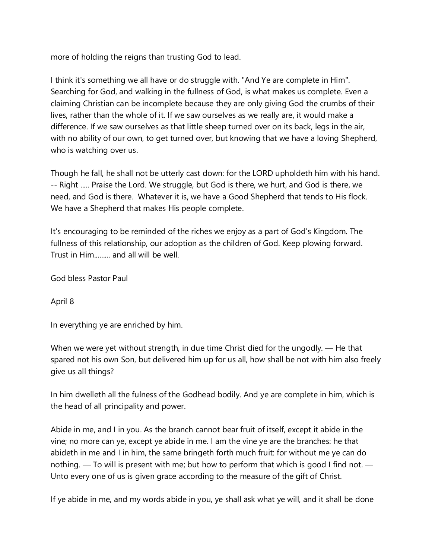more of holding the reigns than trusting God to lead.

I think it's something we all have or do struggle with. "And Ye are complete in Him". Searching for God, and walking in the fullness of God, is what makes us complete. Even a claiming Christian can be incomplete because they are only giving God the crumbs of their lives, rather than the whole of it. If we saw ourselves as we really are, it would make a difference. If we saw ourselves as that little sheep turned over on its back, legs in the air, with no ability of our own, to get turned over, but knowing that we have a loving Shepherd, who is watching over us.

Though he fall, he shall not be utterly cast down: for the LORD upholdeth him with his hand. -- Right ..... Praise the Lord. We struggle, but God is there, we hurt, and God is there, we need, and God is there. Whatever it is, we have a Good Shepherd that tends to His flock. We have a Shepherd that makes His people complete.

It's encouraging to be reminded of the riches we enjoy as a part of God's Kingdom. The fullness of this relationship, our adoption as the children of God. Keep plowing forward. Trust in Him......... and all will be well.

God bless Pastor Paul

April 8

In everything ye are enriched by him.

When we were yet without strength, in due time Christ died for the ungodly. — He that spared not his own Son, but delivered him up for us all, how shall be not with him also freely give us all things?

In him dwelleth all the fulness of the Godhead bodily. And ye are complete in him, which is the head of all principality and power.

Abide in me, and I in you. As the branch cannot bear fruit of itself, except it abide in the vine; no more can ye, except ye abide in me. I am the vine ye are the branches: he that abideth in me and I in him, the same bringeth forth much fruit: for without me ye can do nothing. — To will is present with me; but how to perform that which is good I find not. — Unto every one of us is given grace according to the measure of the gift of Christ.

If ye abide in me, and my words abide in you, ye shall ask what ye will, and it shall be done